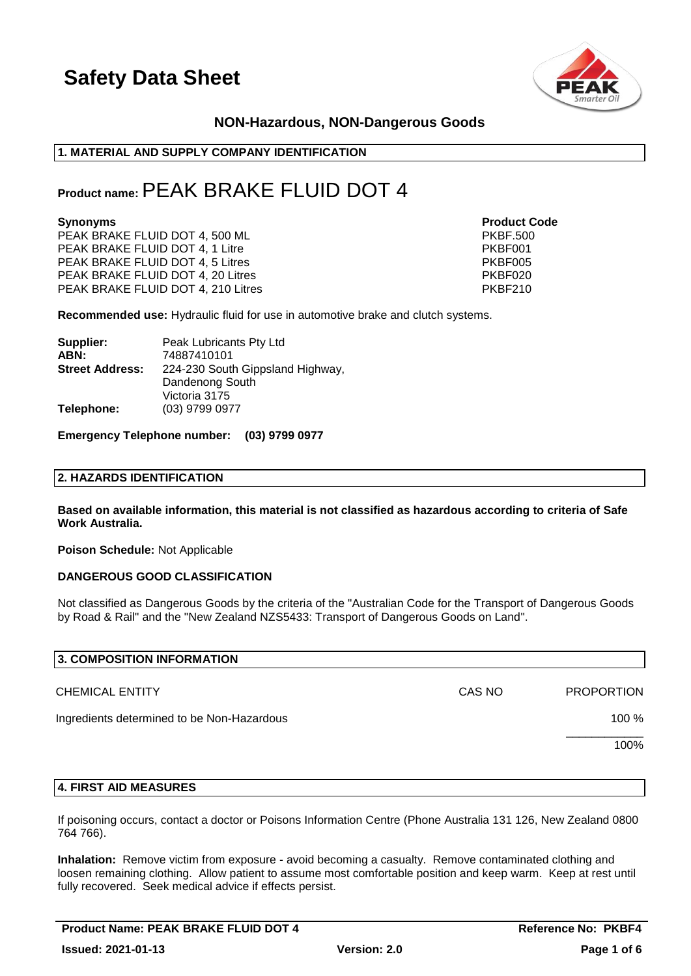

# **NON-Hazardous, NON-Dangerous Goods**

## **1. MATERIAL AND SUPPLY COMPANY IDENTIFICATION**

# **Product name:**PEAK BRAKE FLUID DOT 4

#### **Synonyms Product Code**

PEAK BRAKE FLUID DOT 4, 500 ML<br>PEAK BRAKE FLUID DOT 4. 1 Litre PKBF001 PEAK BRAKE FLUID DOT 4, 1 Litre PEAK BRAKE FLUID DOT 4, 5 Litres **PEAK BRAKE FLUID DOT 4, 5 Litres** PKBF005 PEAK BRAKE FLUID DOT 4, 20 Litres **PEAK BRAKE FLUID 1999** PEAK BRAKE FLUID DOT 4, 210 Litres PKBF210

**Recommended use:** Hydraulic fluid for use in automotive brake and clutch systems.

| Peak Lubricants Pty Ltd          |
|----------------------------------|
| 74887410101                      |
| 224-230 South Gippsland Highway, |
| Dandenong South                  |
| Victoria 3175                    |
| (03) 9799 0977                   |
|                                  |

**Emergency Telephone number: (03) 9799 0977**

### **2. HAZARDS IDENTIFICATION**

**Based on available information, this material is not classified as hazardous according to criteria of Safe Work Australia.**

**Poison Schedule:** Not Applicable

### **DANGEROUS GOOD CLASSIFICATION**

Not classified as Dangerous Goods by the criteria of the "Australian Code for the Transport of Dangerous Goods by Road & Rail" and the "New Zealand NZS5433: Transport of Dangerous Goods on Land".

| 3. COMPOSITION INFORMATION                 |        |                   |
|--------------------------------------------|--------|-------------------|
| <b>CHEMICAL ENTITY</b>                     | CAS NO | <b>PROPORTION</b> |
| Ingredients determined to be Non-Hazardous |        | 100 %             |
|                                            |        | 100%              |
|                                            |        |                   |

### **4. FIRST AID MEASURES**

If poisoning occurs, contact a doctor or Poisons Information Centre (Phone Australia 131 126, New Zealand 0800 764 766).

**Inhalation:** Remove victim from exposure - avoid becoming a casualty. Remove contaminated clothing and loosen remaining clothing. Allow patient to assume most comfortable position and keep warm. Keep at rest until fully recovered. Seek medical advice if effects persist.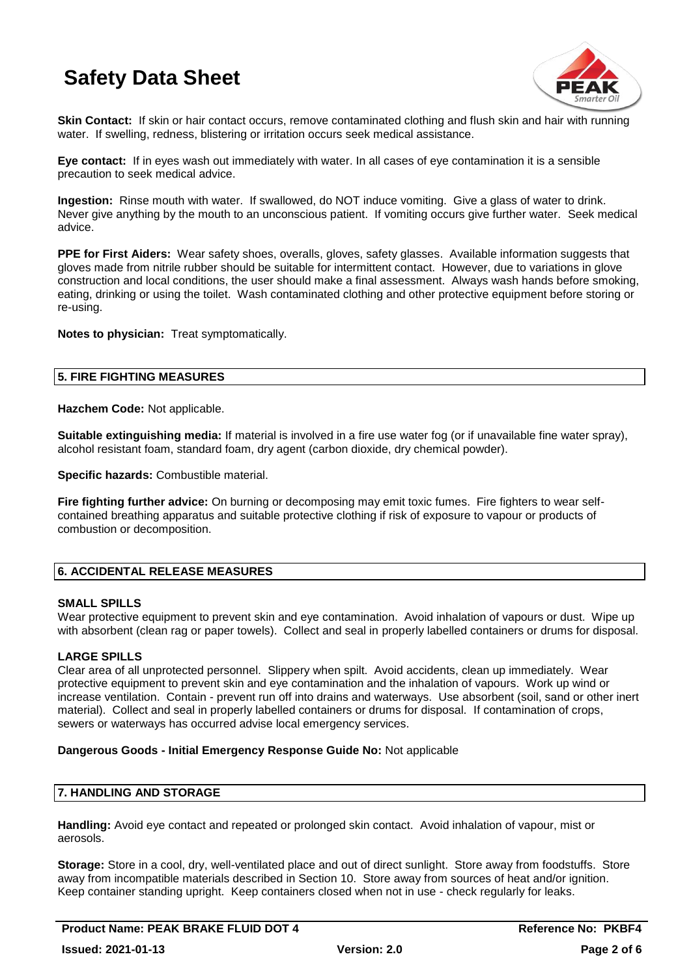

**Skin Contact:** If skin or hair contact occurs, remove contaminated clothing and flush skin and hair with running water. If swelling, redness, blistering or irritation occurs seek medical assistance.

**Eye contact:** If in eyes wash out immediately with water. In all cases of eye contamination it is a sensible precaution to seek medical advice.

**Ingestion:** Rinse mouth with water. If swallowed, do NOT induce vomiting. Give a glass of water to drink. Never give anything by the mouth to an unconscious patient. If vomiting occurs give further water. Seek medical advice.

**PPE for First Aiders:** Wear safety shoes, overalls, gloves, safety glasses. Available information suggests that gloves made from nitrile rubber should be suitable for intermittent contact. However, due to variations in glove construction and local conditions, the user should make a final assessment. Always wash hands before smoking, eating, drinking or using the toilet. Wash contaminated clothing and other protective equipment before storing or re-using.

**Notes to physician:** Treat symptomatically.

# **5. FIRE FIGHTING MEASURES**

**Hazchem Code:** Not applicable.

**Suitable extinguishing media:** If material is involved in a fire use water fog (or if unavailable fine water spray), alcohol resistant foam, standard foam, dry agent (carbon dioxide, dry chemical powder).

**Specific hazards:** Combustible material.

**Fire fighting further advice:** On burning or decomposing may emit toxic fumes. Fire fighters to wear selfcontained breathing apparatus and suitable protective clothing if risk of exposure to vapour or products of combustion or decomposition.

# **6. ACCIDENTAL RELEASE MEASURES**

# **SMALL SPILLS**

Wear protective equipment to prevent skin and eye contamination. Avoid inhalation of vapours or dust. Wipe up with absorbent (clean rag or paper towels). Collect and seal in properly labelled containers or drums for disposal.

# **LARGE SPILLS**

Clear area of all unprotected personnel. Slippery when spilt. Avoid accidents, clean up immediately. Wear protective equipment to prevent skin and eye contamination and the inhalation of vapours. Work up wind or increase ventilation. Contain - prevent run off into drains and waterways. Use absorbent (soil, sand or other inert material). Collect and seal in properly labelled containers or drums for disposal. If contamination of crops, sewers or waterways has occurred advise local emergency services.

# **Dangerous Goods - Initial Emergency Response Guide No:** Not applicable

# **7. HANDLING AND STORAGE**

**Handling:** Avoid eye contact and repeated or prolonged skin contact. Avoid inhalation of vapour, mist or aerosols.

**Storage:** Store in a cool, dry, well-ventilated place and out of direct sunlight. Store away from foodstuffs. Store away from incompatible materials described in Section 10. Store away from sources of heat and/or ignition. Keep container standing upright. Keep containers closed when not in use - check regularly for leaks.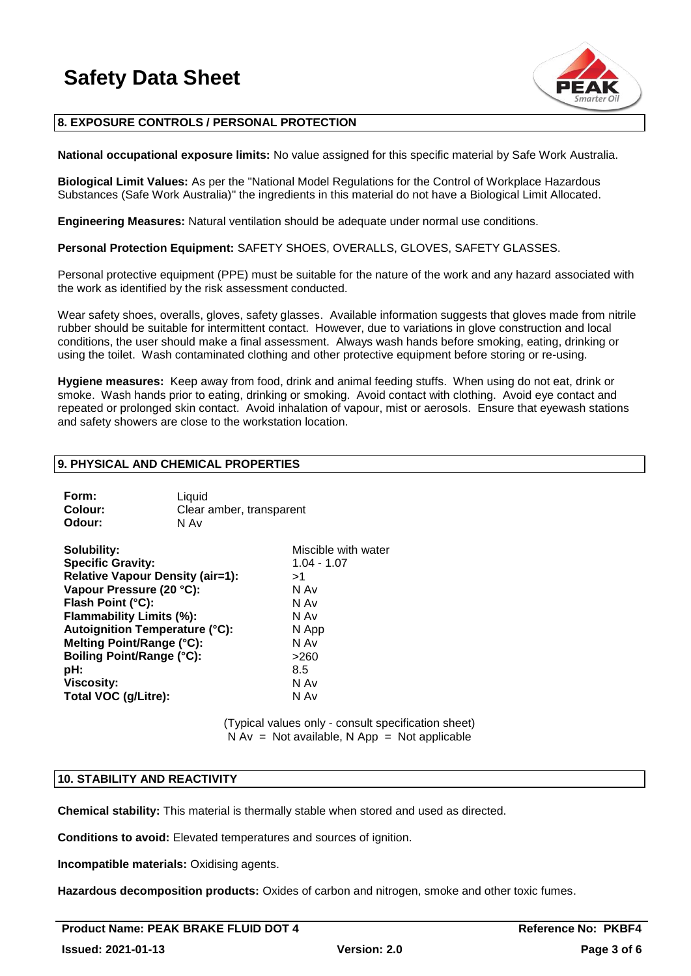

# **8. EXPOSURE CONTROLS / PERSONAL PROTECTION**

**National occupational exposure limits:** No value assigned for this specific material by Safe Work Australia.

**Biological Limit Values:** As per the "National Model Regulations for the Control of Workplace Hazardous Substances (Safe Work Australia)" the ingredients in this material do not have a Biological Limit Allocated.

**Engineering Measures:** Natural ventilation should be adequate under normal use conditions.

**Personal Protection Equipment:** SAFETY SHOES, OVERALLS, GLOVES, SAFETY GLASSES.

Personal protective equipment (PPE) must be suitable for the nature of the work and any hazard associated with the work as identified by the risk assessment conducted.

Wear safety shoes, overalls, gloves, safety glasses. Available information suggests that gloves made from nitrile rubber should be suitable for intermittent contact. However, due to variations in glove construction and local conditions, the user should make a final assessment. Always wash hands before smoking, eating, drinking or using the toilet. Wash contaminated clothing and other protective equipment before storing or re-using.

**Hygiene measures:** Keep away from food, drink and animal feeding stuffs. When using do not eat, drink or smoke. Wash hands prior to eating, drinking or smoking. Avoid contact with clothing. Avoid eye contact and repeated or prolonged skin contact. Avoid inhalation of vapour, mist or aerosols. Ensure that eyewash stations and safety showers are close to the workstation location.

### **9. PHYSICAL AND CHEMICAL PROPERTIES**

| Form:   | Liguid                   |
|---------|--------------------------|
| Colour: | Clear amber, transparent |
| Odour:  | N Av                     |

| Solubility:                             | Miscible with water |
|-----------------------------------------|---------------------|
| <b>Specific Gravity:</b>                | $1.04 - 1.07$       |
| <b>Relative Vapour Density (air=1):</b> | >1                  |
| Vapour Pressure (20 °C):                | N Av                |
| Flash Point (°C):                       | N Av                |
| Flammability Limits (%):                | N Av                |
| <b>Autoignition Temperature (°C):</b>   | N App               |
| Melting Point/Range (°C):               | N Av                |
| <b>Boiling Point/Range (°C):</b>        | >260                |
| pH:                                     | 8.5                 |
| <b>Viscosity:</b>                       | N Av                |
| Total VOC (g/Litre):                    | N Av                |

(Typical values only - consult specification sheet)  $N Av = Not available, N App = Not applicable$ 

#### **10. STABILITY AND REACTIVITY**

**Chemical stability:** This material is thermally stable when stored and used as directed.

**Conditions to avoid:** Elevated temperatures and sources of ignition.

**Incompatible materials:** Oxidising agents.

**Hazardous decomposition products:** Oxides of carbon and nitrogen, smoke and other toxic fumes.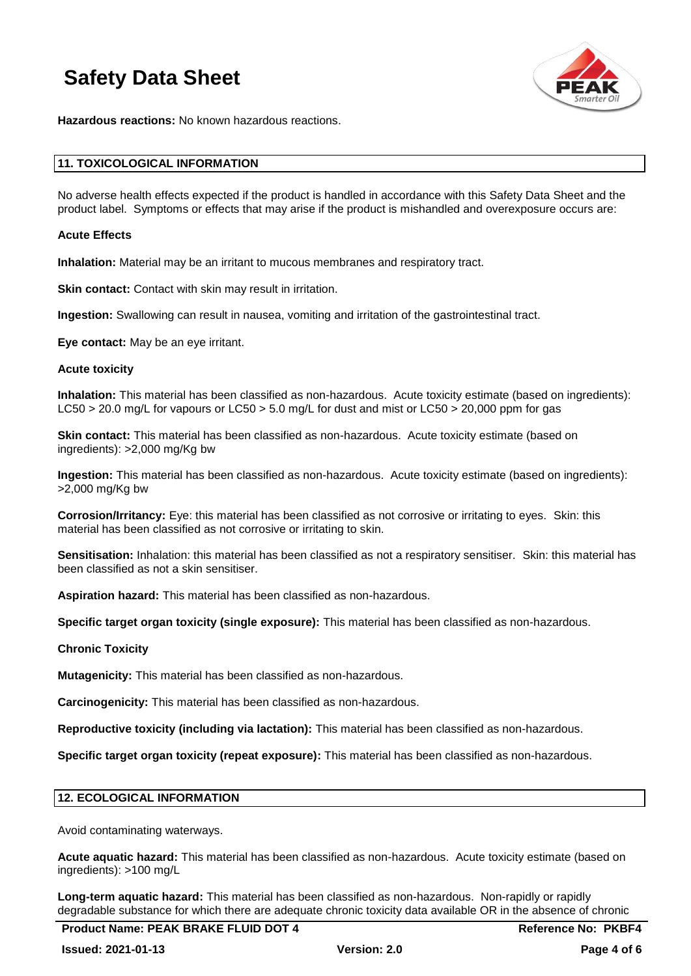

**Hazardous reactions:** No known hazardous reactions.

### **11. TOXICOLOGICAL INFORMATION**

No adverse health effects expected if the product is handled in accordance with this Safety Data Sheet and the product label. Symptoms or effects that may arise if the product is mishandled and overexposure occurs are:

### **Acute Effects**

**Inhalation:** Material may be an irritant to mucous membranes and respiratory tract.

**Skin contact:** Contact with skin may result in irritation.

**Ingestion:** Swallowing can result in nausea, vomiting and irritation of the gastrointestinal tract.

**Eye contact:** May be an eye irritant.

#### **Acute toxicity**

**Inhalation:** This material has been classified as non-hazardous. Acute toxicity estimate (based on ingredients): LC50 > 20.0 mg/L for vapours or LC50 > 5.0 mg/L for dust and mist or LC50 > 20,000 ppm for gas

**Skin contact:** This material has been classified as non-hazardous. Acute toxicity estimate (based on ingredients): >2,000 mg/Kg bw

**Ingestion:** This material has been classified as non-hazardous. Acute toxicity estimate (based on ingredients): >2,000 mg/Kg bw

**Corrosion/Irritancy:** Eye: this material has been classified as not corrosive or irritating to eyes. Skin: this material has been classified as not corrosive or irritating to skin.

**Sensitisation:** Inhalation: this material has been classified as not a respiratory sensitiser. Skin: this material has been classified as not a skin sensitiser.

**Aspiration hazard:** This material has been classified as non-hazardous.

**Specific target organ toxicity (single exposure):** This material has been classified as non-hazardous.

# **Chronic Toxicity**

**Mutagenicity:** This material has been classified as non-hazardous.

**Carcinogenicity:** This material has been classified as non-hazardous.

**Reproductive toxicity (including via lactation):** This material has been classified as non-hazardous.

**Specific target organ toxicity (repeat exposure):** This material has been classified as non-hazardous.

### **12. ECOLOGICAL INFORMATION**

Avoid contaminating waterways.

**Acute aquatic hazard:** This material has been classified as non-hazardous. Acute toxicity estimate (based on ingredients): >100 mg/L

**Long-term aquatic hazard:** This material has been classified as non-hazardous. Non-rapidly or rapidly degradable substance for which there are adequate chronic toxicity data available OR in the absence of chronic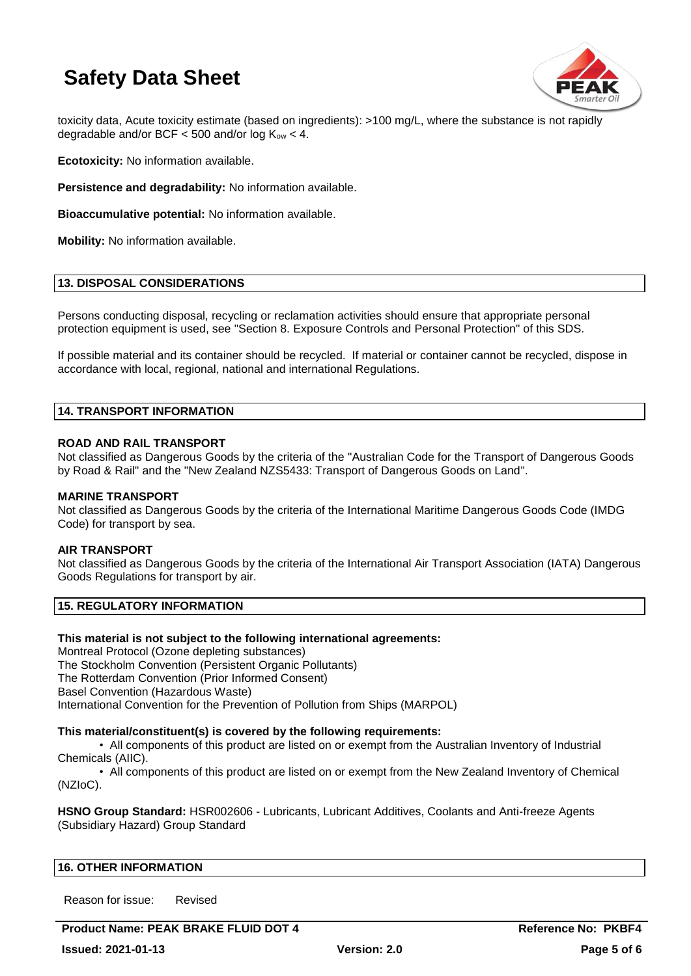

toxicity data, Acute toxicity estimate (based on ingredients): >100 mg/L, where the substance is not rapidly degradable and/or BCF  $<$  500 and/or log K<sub>ow</sub>  $<$  4.

**Ecotoxicity:** No information available.

**Persistence and degradability:** No information available.

**Bioaccumulative potential:** No information available.

**Mobility:** No information available.

# **13. DISPOSAL CONSIDERATIONS**

Persons conducting disposal, recycling or reclamation activities should ensure that appropriate personal protection equipment is used, see "Section 8. Exposure Controls and Personal Protection" of this SDS.

If possible material and its container should be recycled. If material or container cannot be recycled, dispose in accordance with local, regional, national and international Regulations.

## **14. TRANSPORT INFORMATION**

### **ROAD AND RAIL TRANSPORT**

Not classified as Dangerous Goods by the criteria of the "Australian Code for the Transport of Dangerous Goods by Road & Rail" and the "New Zealand NZS5433: Transport of Dangerous Goods on Land".

### **MARINE TRANSPORT**

Not classified as Dangerous Goods by the criteria of the International Maritime Dangerous Goods Code (IMDG Code) for transport by sea.

### **AIR TRANSPORT**

Not classified as Dangerous Goods by the criteria of the International Air Transport Association (IATA) Dangerous Goods Regulations for transport by air.

## **15. REGULATORY INFORMATION**

### **This material is not subject to the following international agreements:**

Montreal Protocol (Ozone depleting substances) The Stockholm Convention (Persistent Organic Pollutants) The Rotterdam Convention (Prior Informed Consent) Basel Convention (Hazardous Waste) International Convention for the Prevention of Pollution from Ships (MARPOL)

### **This material/constituent(s) is covered by the following requirements:**

• All components of this product are listed on or exempt from the Australian Inventory of Industrial Chemicals (AIIC).

• All components of this product are listed on or exempt from the New Zealand Inventory of Chemical (NZIoC).

**HSNO Group Standard:** HSR002606 - Lubricants, Lubricant Additives, Coolants and Anti-freeze Agents (Subsidiary Hazard) Group Standard

### **16. OTHER INFORMATION**

Reason for issue: Revised